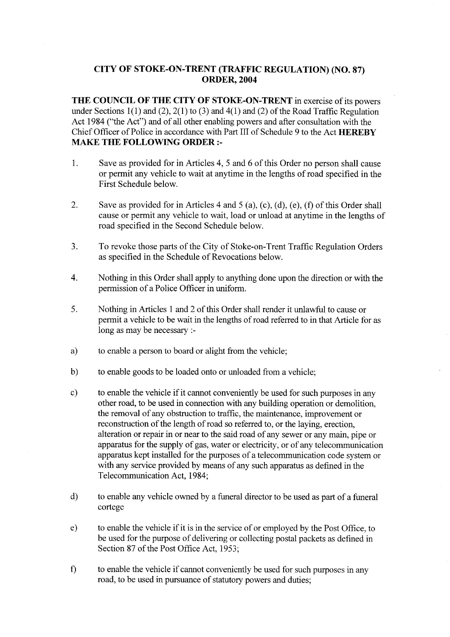# CITY OF STOKE-ON-TRENT (TRAFFIC REGULATION) (NO. 87) **ORDER, 2004**

THE COUNCIL OF THE CITY OF STOKE-ON-TRENT in exercise of its powers under Sections 1(1) and (2), 2(1) to (3) and 4(1) and (2) of the Road Traffic Regulation Act 1984 ("the Act") and of all other enabling powers and after consultation with the Chief Officer of Police in accordance with Part III of Schedule 9 to the Act HEREBY MAKE THE FOLLOWING **ORDER :-**

- 1. Save as provided for in Articles 4, 5 and 6 of this Order no person shall cause or permit any vehicle to wait at anytime in the lengths of road specified in the First Schedule below.
- 2. Save as provided for in Articles 4 and 5 (a), (c), (d), (e), (f) of this Order shall cause or permit any vehicle to wait, load or unload at anytime in the lengths of road specified in the Second Schedule below.
- 3. To revoke those parts of the City of Stoke-on-Trent Traffic Regulation Orders as specified in the Schedule of Revocations below.
- 4. Nothing in this Order shall apply to anything done upon the direction or with the permission of a Police Officer in uniform.
- 5. Nothing in Articles 1 and 2 of this Order shall render it unlawful to cause or permit a vehicle to be wait in the lengths of road referred to in that Article for as long as may be necessary :-
- a) to enable a person to board or alight from the vehicle;
- b) to enable goods to be loaded onto or unloaded from a vehicle;
- c) to enable the vehicle if it cannot conveniently be used for such purposes in any other road, to be used in connection with any building operation or demolition, the removal of any obstruction to traffic, the maintenance, improvement or reconstruction of the length of road so referred to, or the laying, erection, alteration or repair in or near to the said road of any sewer or any main, pipe or apparatus for the supply of gas, water or electricity, or of any telecommunication apparatus kept installed for the purposes of a telecommunication code system or with any service provided by means of any such apparatus as defined in the Telecommunication Act, 1984;
- d) to enable any vehicle owned by a funeral director to be used as part of a funeral cortege
- e) to enable the vehicle if it is in the service of or employed by the Post Office, to be used for the purpose of delivering or collecting postal packets as defined in Section 87 of the Post Office Act, 1953;
- f) to enable the vehicle if cannot conveniently be used for such purposes in any road, to be used in pursuance of statutory powers and duties;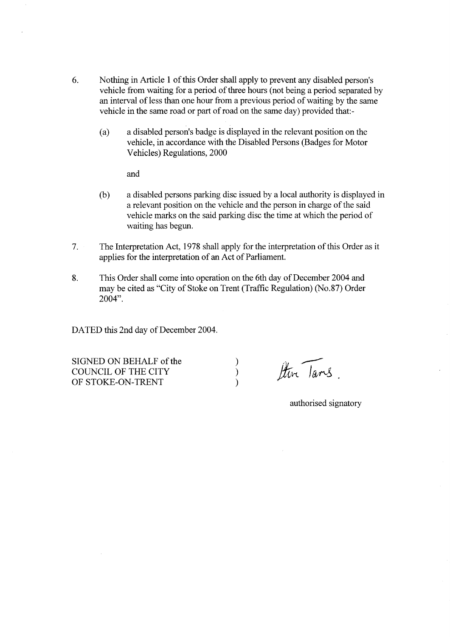- 6. Nothing in Article 1 of this Order shall apply to prevent any disabled person's vehicle from waiting for a period of three hours (not being a period separated by an interval of less than one hour from a previous period of waiting by the same vehicle in the same road or part of road on the same day) provided that:-
	- (a) a disabled person's badge is displayed in the relevant position on the vehicle, in accordance with the Disabled Persons (Badges for Motor Vehicles) Regulations, 2000

and

- (b) a disabled persons parking disc issued by a local authority is displayed in a relevant position on the vehicle and the person in charge of the said vehicle marks on the said parking disc the time at which the period of waiting has begun.
- 7. The Interpretation Act, 1978 shall apply for the interpretation of this Order as it applies for the interpretation of an Act of Parliament.

 $\mathcal{E}$ 

 $\mathcal{L}$ 

8. This Order shall come into operation on the 6th day of December 2004 and may be cited as "City of Stoke on Trent (Traffic Regulation) (No.87) Order 2004".

DATED this 2nd day of December 2004.

SIGNED ON BEHALF of the COUNCIL OF THE CITY OF STOKE-ON-TRENT

there Tars.

authorised signatory